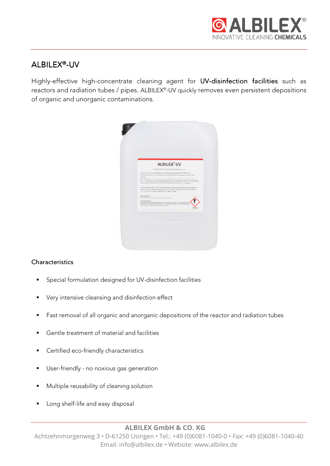

# ALBILEX®-UV

Highly-effective high-concentrate cleaning agent for UV-disinfection facilities such as reactors and radiation tubes / pipes. ALBILEX® -UV quickly removes even persistent depositions of organic and unorganic contaminations.



# **Characteristics**

- Special formulation designed for UV-disinfection facilities
- **•** Very intensive cleansing and disinfection effect
- Fast removal of all organic and anorganic depositions of the reactor and radiation tubes
- Gentle treatment of material and facilities
- **Certified eco-friendly characteristics**
- **User-friendly no noxious gas generation**
- **Multiple reusability of cleaning solution**
- **Long shelf-life and easy disposal**